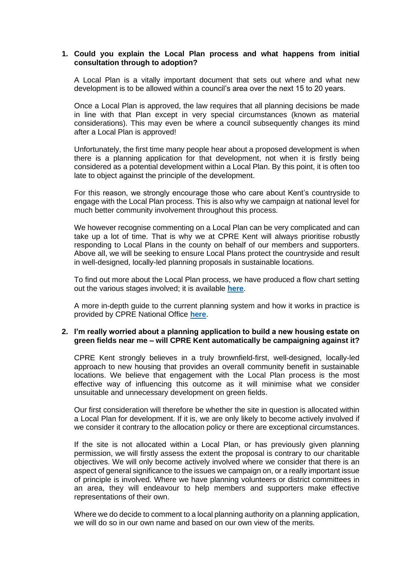## **1. Could you explain the Local Plan process and what happens from initial consultation through to adoption?**

A Local Plan is a vitally important document that sets out where and what new development is to be allowed within a council's area over the next 15 to 20 years.

Once a Local Plan is approved, the law requires that all planning decisions be made in line with that Plan except in very special circumstances (known as material considerations). This may even be where a council subsequently changes its mind after a Local Plan is approved!

Unfortunately, the first time many people hear about a proposed development is when there is a planning application for that development, not when it is firstly being considered as a potential development within a Local Plan. By this point, it is often too late to object against the principle of the development.

For this reason, we strongly encourage those who care about Kent's countryside to engage with the Local Plan process. This is also why we campaign at national level for much better community involvement throughout this process.

We however recognise commenting on a Local Plan can be very complicated and can take up a lot of time. That is why we at CPRE Kent will always prioritise robustly responding to Local Plans in the county on behalf of our members and supporters. Above all, we will be seeking to ensure Local Plans protect the countryside and result in well-designed, locally-led planning proposals in sustainable locations.

To find out more about the Local Plan process, we have produced a flow chart setting out the various stages involved; it is available **[here](https://cprekent.org.uk/wp-content/uploads/2022/05/Local-Plan-flow-chart-new.pdf)**.

A more in-depth guide to the current planning system and how it works in practice is provided by CPRE National Office **[here](https://www.cpre.org.uk/wp-content/uploads/2019/11/Planning_explained.pdf)**.

### **2. I'm really worried about a planning application to build a new housing estate on green fields near me – will CPRE Kent automatically be campaigning against it?**

CPRE Kent strongly believes in a truly brownfield-first, well-designed, locally-led approach to new housing that provides an overall community benefit in sustainable locations. We believe that engagement with the Local Plan process is the most effective way of influencing this outcome as it will minimise what we consider unsuitable and unnecessary development on green fields.

Our first consideration will therefore be whether the site in question is allocated within a Local Plan for development. If it is, we are only likely to become actively involved if we consider it contrary to the allocation policy or there are exceptional circumstances.

If the site is not allocated within a Local Plan, or has previously given planning permission, we will firstly assess the extent the proposal is contrary to our charitable objectives. We will only become actively involved where we consider that there is an aspect of general significance to the issues we campaign on, or a really important issue of principle is involved. Where we have planning volunteers or district committees in an area, they will endeavour to help members and supporters make effective representations of their own.

Where we do decide to comment to a local planning authority on a planning application, we will do so in our own name and based on our own view of the merits.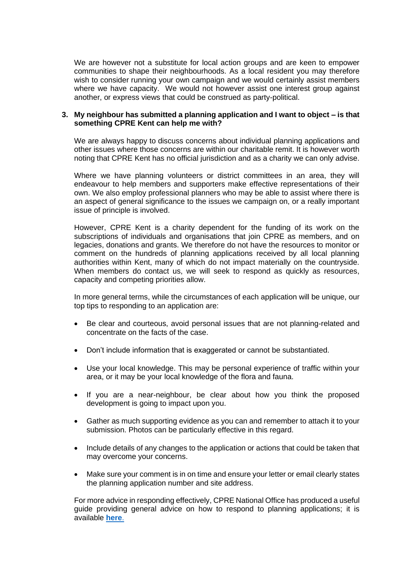We are however not a substitute for local action groups and are keen to empower communities to shape their neighbourhoods. As a local resident you may therefore wish to consider running your own campaign and we would certainly assist members where we have capacity. We would not however assist one interest group against another, or express views that could be construed as party-political.

## **3. My neighbour has submitted a planning application and I want to object – is that something CPRE Kent can help me with?**

We are always happy to discuss concerns about individual planning applications and other issues where those concerns are within our charitable remit. It is however worth noting that CPRE Kent has no official jurisdiction and as a charity we can only advise.

Where we have planning volunteers or district committees in an area, they will endeavour to help members and supporters make effective representations of their own. We also employ professional planners who may be able to assist where there is an aspect of general significance to the issues we campaign on, or a really important issue of principle is involved.

However, CPRE Kent is a charity dependent for the funding of its work on the subscriptions of individuals and organisations that join CPRE as members, and on legacies, donations and grants. We therefore do not have the resources to monitor or comment on the hundreds of planning applications received by all local planning authorities within Kent, many of which do not impact materially on the countryside. When members do contact us, we will seek to respond as quickly as resources, capacity and competing priorities allow.

In more general terms, while the circumstances of each application will be unique, our top tips to responding to an application are:

- Be clear and courteous, avoid personal issues that are not planning-related and concentrate on the facts of the case.
- Don't include information that is exaggerated or cannot be substantiated.
- Use your local knowledge. This may be personal experience of traffic within your area, or it may be your local knowledge of the flora and fauna.
- If you are a near-neighbour, be clear about how you think the proposed development is going to impact upon you.
- Gather as much supporting evidence as you can and remember to attach it to your submission. Photos can be particularly effective in this regard.
- Include details of any changes to the application or actions that could be taken that may overcome your concerns.
- Make sure your comment is in on time and ensure your letter or email clearly states the planning application number and site address.

For more advice in responding effectively, CPRE National Office has produced a useful guide providing general advice on how to respond to planning applications; it is available **[here](https://www.cpre.org.uk/resources/how-to-respond-to-planning-applications/)**.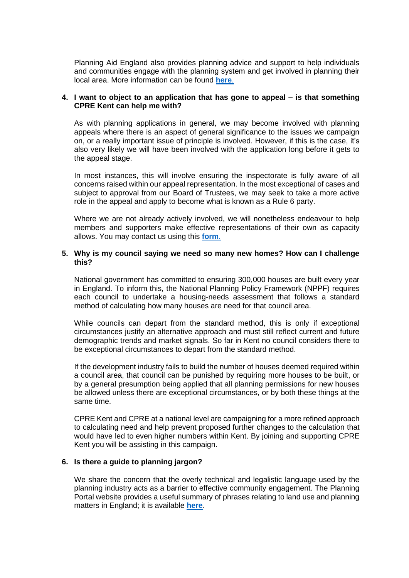Planning Aid England also provides planning advice and support to help individuals and communities engage with the planning system and get involved in planning their local area. More information can be found **[here](https://www.rtpi.org.uk/planning-advice/)**.

### **4. I want to object to an application that has gone to appeal – is that something CPRE Kent can help me with?**

As with planning applications in general, we may become involved with planning appeals where there is an aspect of general significance to the issues we campaign on, or a really important issue of principle is involved. However, if this is the case, it's also very likely we will have been involved with the application long before it gets to the appeal stage.

In most instances, this will involve ensuring the inspectorate is fully aware of all concerns raised within our appeal representation. In the most exceptional of cases and subject to approval from our Board of Trustees, we may seek to take a more active role in the appeal and apply to become what is known as a Rule 6 party.

Where we are not already actively involved, we will nonetheless endeavour to help members and supporters make effective representations of their own as capacity allows. You may contact us using this **[form](https://cprekent.org.uk/contact-us/)**.

### **5. Why is my council saying we need so many new homes? How can I challenge this?**

National government has committed to ensuring 300,000 houses are built every year in England. To inform this, the National Planning Policy Framework (NPPF) requires each council to undertake a housing-needs assessment that follows a standard method of calculating how many houses are need for that council area.

While councils can depart from the standard method, this is only if exceptional circumstances justify an alternative approach and must still reflect current and future demographic trends and market signals. So far in Kent no council considers there to be exceptional circumstances to depart from the standard method.

If the development industry fails to build the number of houses deemed required within a council area, that council can be punished by requiring more houses to be built, or by a general presumption being applied that all planning permissions for new houses be allowed unless there are exceptional circumstances, or by both these things at the same time.

CPRE Kent and CPRE at a national level are campaigning for a more refined approach to calculating need and help prevent proposed further changes to the calculation that would have led to even higher numbers within Kent. By joining and supporting CPRE Kent you will be assisting in this campaign.

# **6. Is there a guide to planning jargon?**

We share the concern that the overly technical and legalistic language used by the planning industry acts as a barrier to effective community engagement. The Planning Portal website provides a useful summary of phrases relating to land use and planning matters in England; it is available **[here](https://www.planningportal.co.uk/directory/4/glossary/category/7)**.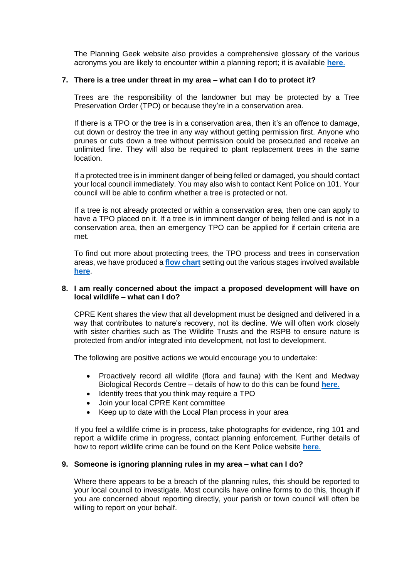The Planning Geek website also provides a comprehensive glossary of the various acronyms you are likely to encounter within a planning report; it is available **[here](https://www.planninggeek.co.uk/glossary/)**.

#### **7. There is a tree under threat in my area – what can I do to protect it?**

Trees are the responsibility of the landowner but may be protected by a Tree Preservation Order (TPO) or because they're in a conservation area.

If there is a TPO or the tree is in a conservation area, then it's an offence to damage, cut down or destroy the tree in any way without getting permission first. Anyone who prunes or cuts down a tree without permission could be prosecuted and receive an unlimited fine. They will also be required to plant replacement trees in the same location.

If a protected tree is in imminent danger of being felled or damaged, you should contact your local council immediately. You may also wish to contact Kent Police on 101. Your council will be able to confirm whether a tree is protected or not.

If a tree is not already protected or within a conservation area, then one can apply to have a TPO placed on it. If a tree is in imminent danger of being felled and is not in a conservation area, then an emergency TPO can be applied for if certain criteria are met.

To find out more about protecting trees, the TPO process and trees in conservation areas, we have produced a **[flow chart](https://cprekent.org.uk/wp-content/uploads/2022/05/Tree-flow-charts-new.pdf)** setting out the various stages involved available **[here](https://cprekent.sharepoint.com/:b:/g/EV0Yvv-0eUNFgNqiJowRJ6ABEhWdhQO6pBTJzUzXsof2uA?e=nbPjAW)**.

### **8. I am really concerned about the impact a proposed development will have on local wildlife – what can I do?**

CPRE Kent shares the view that all development must be designed and delivered in a way that contributes to nature's recovery, not its decline. We will often work closely with sister charities such as The Wildlife Trusts and the RSPB to ensure nature is protected from and/or integrated into development, not lost to development.

The following are positive actions we would encourage you to undertake:

- Proactively record all wildlife (flora and fauna) with the Kent and Medway Biological Records Centre – details of how to do this can be found **[here](https://www.kmbrc.org.uk/submitting-records-to-kmbrc)**.
- Identify trees that you think may require a TPO
- Join your local CPRE Kent committee
- Keep up to date with the Local Plan process in your area

If you feel a wildlife crime is in process, take photographs for evidence, ring 101 and report a wildlife crime in progress, contact planning enforcement. Further details of how to report wildlife crime can be found on the Kent Police website **[here](https://www.kent.police.uk/advice/advice-and-information/wc/wildlife-crime/what-you-can-do-about-wildlife-crime/)**.

#### **9. Someone is ignoring planning rules in my area – what can I do?**

Where there appears to be a breach of the planning rules, this should be reported to your local council to investigate. Most councils have online forms to do this, though if you are concerned about reporting directly, your parish or town council will often be willing to report on your behalf.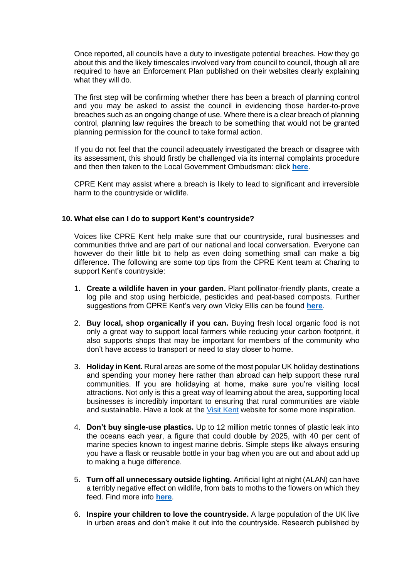Once reported, all councils have a duty to investigate potential breaches. How they go about this and the likely timescales involved vary from council to council, though all are required to have an Enforcement Plan published on their websites clearly explaining what they will do.

The first step will be confirming whether there has been a breach of planning control and you may be asked to assist the council in evidencing those harder-to-prove breaches such as an ongoing change of use. Where there is a clear breach of planning control, planning law requires the breach to be something that would not be granted planning permission for the council to take formal action.

If you do not feel that the council adequately investigated the breach or disagree with its assessment, this should firstly be challenged via its internal complaints procedure and then then taken to the Local Government Ombudsman: click **[here](http://www.lgo.org.uk/make-a-complaint)**.

CPRE Kent may assist where a breach is likely to lead to significant and irreversible harm to the countryside or wildlife.

## **10. What else can I do to support Kent's countryside?**

Voices like CPRE Kent help make sure that our countryside, rural businesses and communities thrive and are part of our national and local conversation. Everyone can however do their little bit to help as even doing something small can make a big difference. The following are some top tips from the CPRE Kent team at Charing to support Kent's countryside:

- 1. **Create a wildlife haven in your garden.** Plant pollinator-friendly plants, create a log pile and stop using herbicide, pesticides and peat-based composts. Further suggestions from CPRE Kent's very own Vicky Ellis can be found **[here](https://cprekent.org.uk/tag/wildlife-gardening/)**.
- 2. **Buy local, shop organically if you can.** Buying fresh local organic food is not only a great way to support local farmers while reducing your carbon footprint, it also supports shops that may be important for members of the community who don't have access to transport or need to stay closer to home.
- 3. **Holiday in Kent.** Rural areas are some of the most popular UK holiday destinations and spending your money here rather than abroad can help support these rural communities. If you are holidaying at home, make sure you're visiting local attractions. Not only is this a great way of learning about the area, supporting local businesses is incredibly important to ensuring that rural communities are viable and sustainable. Have a look at the [Visit Kent](https://www.visitkent.co.uk/) website for some more inspiration.
- 4. **Don't buy single-use plastics.** Up to 12 million metric tonnes of plastic leak into the oceans each year, a figure that could double by 2025, with 40 per cent of marine species known to ingest marine debris. Simple steps like always ensuring you have a flask or reusable bottle in your bag when you are out and about add up to making a huge difference.
- 5. **Turn off all unnecessary outside lighting.** Artificial light at night (ALAN) can have a terribly negative effect on wildlife, from bats to moths to the flowers on which they feed. Find more info **[here](https://cprekent.org.uk/environment/our-stolen-night-skies/)**.
- 6. **Inspire your children to love the countryside.** A large population of the UK live in urban areas and don't make it out into the countryside. Research published by